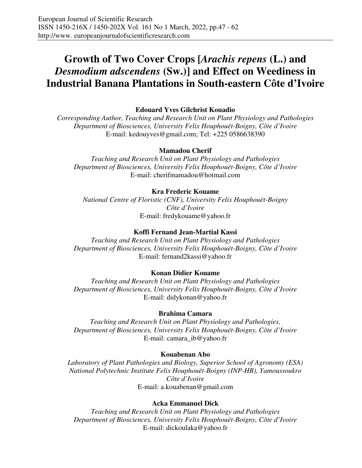# **Growth of Two Cover Crops [***Arachis repens* **(L.) and** *Desmodium adscendens* **(Sw.)] and Effect on Weediness in Industrial Banana Plantations in South-eastern Côte d'Ivoire**

# **Edouard Yves Gilchrist Kouadio**

*Corresponding Author, Teaching and Research Unit on Plant Physiology and Pathologies Department of Biosciences, University Felix Houphouët-Boigny, Côte d'Ivoire*  E-mail: kedouyves@gmail.com; Tel: +225 0586638390

### **Mamadou Cherif**

*Teaching and Research Unit on Plant Physiology and Pathologies Department of Biosciences, University Felix Houphouët-Boigny, Côte d'Ivoire*  E-mail: cherifmamadou@hotmail.com

### **Kra Frederic Kouame**

*National Centre of Floristic (CNF), University Felix Houphouët-Boigny Côte d'Ivoire*  E-mail: fredykouame@yahoo.fr

### **Koffi Fernand Jean-Martial Kassi**

*Teaching and Research Unit on Plant Physiology and Pathologies Department of Biosciences, University Felix Houphouët-Boigny, Côte d'Ivoire*  E-mail: fernand2kassi@yahoo.fr

### **Konan Didier Kouame**

*Teaching and Research Unit on Plant Physiology and Pathologies Department of Biosciences, University Felix Houphouët-Boigny, Côte d'Ivoire*  E-mail: didykonan@yahoo.fr

### **Brahima Camara**

*Teaching and Research Unit on Plant Physiology and Pathologies, Department of Biosciences, University Felix Houphouët-Boigny, Côte d'Ivoire*  E-mail: camara\_ib@yahoo.fr

### **Kouabenan Abo**

*Laboratory of Plant Pathologies and Biology, Superior School of Agronomy (ESA) National Polytechnic Institute Felix Houphouët-Boigny (INP-HB), Yamoussoukro Côte d'Ivoire*  E-mail: a.kouabenan@gmail.com

### **Acka Emmanuel Dick**

*Teaching and Research Unit on Plant Physiology and Pathologies Department of Biosciences, University Felix Houphouët-Boigny, Côte d'Ivoire*  E-mail: dickoulaka@yahoo.fr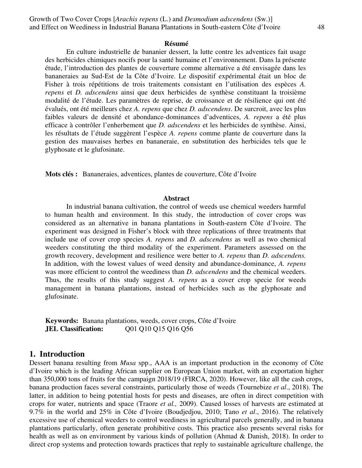#### **Résumé**

En culture industrielle de bananier dessert, la lutte contre les adventices fait usage des herbicides chimiques nocifs pour la santé humaine et l'environnement. Dans la présente étude, l'introduction des plantes de couverture comme alternative a été envisagée dans les bananeraies au Sud-Est de la Côte d'Ivoire. Le dispositif expérimental était un bloc de Fisher à trois répétitions de trois traitements consistant en l'utilisation des espèces *A. repens* et *D. adscendens* ainsi que deux herbicides de synthèse constituant la troisième modalité de l'étude. Les paramètres de reprise, de croissance et de résilience qui ont été évalués, ont été meilleurs chez *A. repens* que chez *D. adscendens*. De surcroit, avec les plus faibles valeurs de densité et abondance-dominances d'adventices, *A. repens* a été plus efficace à contrôler l'enherbement que *D. adscendens* et les herbicides de synthèse. Ainsi, les résultats de l'étude suggèrent l'espèce *A. repens* comme plante de couverture dans la gestion des mauvaises herbes en bananeraie, en substitution des herbicides tels que le glyphosate et le glufosinate.

**Mots clés :** Bananeraies, adventices, plantes de couverture, Côte d'Ivoire

#### **Abstract**

In industrial banana cultivation, the control of weeds use chemical weeders harmful to human health and environment. In this study, the introduction of cover crops was considered as an alternative in banana plantations in South-eastern Côte d'Ivoire. The experiment was designed in Fisher's block with three replications of three treatments that include use of cover crop species *A. repens* and *D. adscendens* as well as two chemical weeders constituting the third modality of the experiment. Parameters assessed on the growth recovery, development and resilience were better to *A. repens* than *D. adscendens.*  In addition, with the lowest values of weed density and abundance-dominance, *A. repens*  was more efficient to control the weediness than *D. adscendens* and the chemical weeders. Thus, the results of this study suggest *A. repens* as a cover crop specie for weeds management in banana plantations, instead of herbicides such as the glyphosate and glufosinate.

**Keywords:** Banana plantations, weeds, cover crops, Côte d'Ivoire **JEL Classification:**  $\qquad 001\ 010\ 015\ 016\ 056$ 

### **1. Introduction**

Dessert banana resulting from *Musa* spp., AAA is an important production in the economy of Côte d'Ivoire which is the leading African supplier on European Union market, with an exportation higher than 350,000 tons of fruits for the campaign 2018/19 (FIRCA, 2020). However, like all the cash crops, banana production faces several constraints, particularly those of weeds (Tournebize *et al*., 2018). The latter, in addition to being potential hosts for pests and diseases, are often in direct competition with crops for water, nutrients and space (Traore *et al.,* 2009). Caused losses of harvests are estimated at 9.7% in the world and 25% in Côte d'Ivoire (Boudjedjou, 2010; Tano *et al*., 2016). The relatively excessive use of chemical weeders to control weediness in agricultural parcels generally, and in banana plantations particularly, often generate prohibitive costs. This practice also presents several risks for health as well as on environment by various kinds of pollution (Ahmad & Danish, 2018). In order to direct crop systems and protection towards practices that reply to sustainable agriculture challenge, the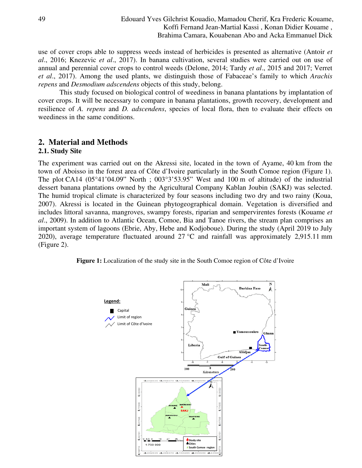use of cover crops able to suppress weeds instead of herbicides is presented as alternative (Antoir *et al*., 2016; Knezevic *et al*., 2017). In banana cultivation, several studies were carried out on use of annual and perennial cover crops to control weeds (Delone, 2014; Tardy *et al*., 2015 and 2017; Verret *et al*., 2017). Among the used plants, we distinguish those of Fabaceae's family to which *Arachis repens* and *Desmodium adscendens* objects of this study, belong.

This study focused on biological control of weediness in banana plantations by implantation of cover crops. It will be necessary to compare in banana plantations, growth recovery, development and resilience of *A. repens* and *D. adscendens*, species of local flora, then to evaluate their effects on weediness in the same conditions.

# **2. Material and Methods**

### **2.1. Study Site**

The experiment was carried out on the Akressi site, located in the town of Ayame, 40 km from the town of Aboisso in the forest area of Côte d'Ivoire particularly in the South Comoe region (Figure 1). The plot CA14 (05°41'04.09" North ; 003°3'53.95" West and 100 m of altitude) of the industrial dessert banana plantations owned by the Agricultural Company Kablan Joubin (SAKJ) was selected. The humid tropical climate is characterized by four seasons including two dry and two rainy (Koua, 2007). Akressi is located in the Guinean phytogeographical domain. Vegetation is diversified and includes littoral savanna, mangroves, swampy forests, riparian and sempervirentes forests (Kouame *et al*., 2009). In addition to Atlantic Ocean, Comoe, Bia and Tanoe rivers, the stream plan comprises an important system of lagoons (Ebrie, Aby, Hebe and Kodjoboue). During the study (April 2019 to July 2020), average temperature fluctuated around  $27 \degree C$  and rainfall was approximately 2,915.11 mm (Figure 2).

**Figure 1:** Localization of the study site in the South Comoe region of Côte d'Ivoire

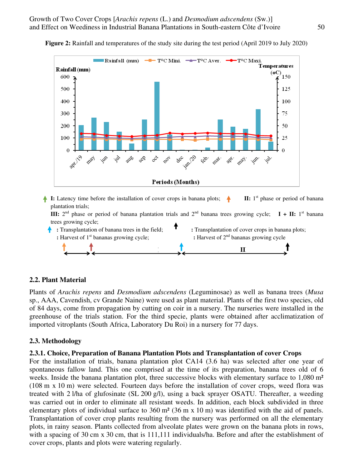

**Figure 2:** Rainfall and temperatures of the study site during the test period (April 2019 to July 2020)

**1:** Latency time before the installation of cover crops in banana plots;  $\triangle$  $\mathbf{II}:$  1<sup>st</sup> phase or period of banana plantation trials; **III:**  $2^{nd}$  phase or period of banana plantation trials and  $2^{nd}$  banana trees growing cycle; **I** + **II:** 1<sup>st</sup> banana trees growing cycle;



# **2.2. Plant Material**

Plants of *Arachis repens* and *Desmodium adscendens* (Leguminosae) as well as banana trees (*Musa*  sp., AAA, Cavendish, cv Grande Naine) were used as plant material. Plants of the first two species, old of 84 days, come from propagation by cutting on coir in a nursery. The nurseries were installed in the greenhouse of the trials station. For the third specie, plants were obtained after acclimatization of imported vitroplants (South Africa, Laboratory Du Roi) in a nursery for 77 days.

# **2.3. Methodology**

### **2.3.1. Choice, Preparation of Banana Plantation Plots and Transplantation of cover Crops**

For the installation of trials, banana plantation plot CA14 (3.6 ha) was selected after one year of spontaneous fallow land. This one comprised at the time of its preparation, banana trees old of 6 weeks. Inside the banana plantation plot, three successive blocks with elementary surface to 1,080 m<sup>2</sup> (108 m x 10 m) were selected. Fourteen days before the installation of cover crops, weed flora was treated with 2 l/ha of glufosinate (SL 200 g/l), using a back sprayer OSATU. Thereafter, a weeding was carried out in order to eliminate all resistant weeds. In addition, each block subdivided in three elementary plots of individual surface to 360 m² (36 m x 10 m) was identified with the aid of panels. Transplantation of cover crop plants resulting from the nursery was performed on all the elementary plots, in rainy season. Plants collected from alveolate plates were grown on the banana plots in rows, with a spacing of 30 cm x 30 cm, that is 111,111 individuals/ha. Before and after the establishment of cover crops, plants and plots were watering regularly.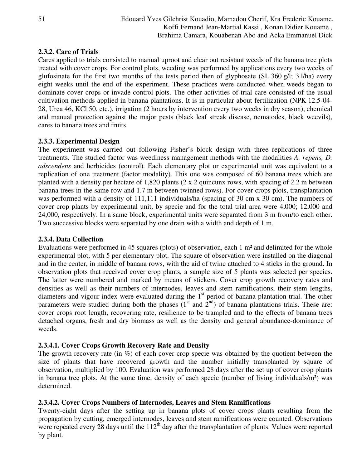# **2.3.2. Care of Trials**

Cares applied to trials consisted to manual uproot and clear out resistant weeds of the banana tree plots treated with cover crops. For control plots, weeding was performed by applications every two weeks of glufosinate for the first two months of the tests period then of glyphosate (SL 360 g/l; 3 l/ha) every eight weeks until the end of the experiment. These practices were conducted when weeds began to dominate cover crops or invade control plots. The other activities of trial care consisted of the usual cultivation methods applied in banana plantations. It is in particular about fertilization (NPK 12.5-04- 28, Urea 46, KCl 50, etc.), irrigation (2 hours by intervention every two weeks in dry season), chemical and manual protection against the major pests (black leaf streak disease, nematodes, black weevils), cares to banana trees and fruits.

# **2.3.3. Experimental Design**

The experiment was carried out following Fisher's block design with three replications of three treatments. The studied factor was weediness management methods with the modalities *A. repens, D. adscendens* and herbicides (control)*.* Each elementary plot or experimental unit was equivalent to a replication of one treatment (factor modality). This one was composed of 60 banana trees which are planted with a density per hectare of 1,820 plants (2 x 2 quincunx rows, with spacing of 2.2 m between banana trees in the same row and 1.7 m between twinned rows). For cover crops plots, transplantation was performed with a density of 111,111 individuals/ha (spacing of 30 cm x 30 cm). The numbers of cover crop plants by experimental unit, by specie and for the total trial area were 4,000; 12,000 and 24,000, respectively. In a same block, experimental units were separated from 3 m from/to each other. Two successive blocks were separated by one drain with a width and depth of 1 m.

# **2.3.4. Data Collection**

Evaluations were performed in 45 squares (plots) of observation, each 1 m² and delimited for the whole experimental plot, with 5 per elementary plot. The square of observation were installed on the diagonal and in the center, in middle of banana rows, with the aid of twine attached to 4 sticks in the ground. In observation plots that received cover crop plants, a sample size of 5 plants was selected per species. The latter were numbered and marked by means of stickers. Cover crop growth recovery rates and densities as well as their numbers of internodes, leaves and stem ramifications, their stem lengths, diameters and vigour index were evaluated during the 1<sup>st</sup> period of banana plantation trial. The other parameters were studied during both the phases  $(1<sup>st</sup>$  and  $2<sup>nd</sup>)$  of banana plantations trials. These are: cover crops root length, recovering rate, resilience to be trampled and to the effects of banana trees detached organs, fresh and dry biomass as well as the density and general abundance-dominance of weeds.

# **2.3.4.1. Cover Crops Growth Recovery Rate and Density**

The growth recovery rate (in  $\%$ ) of each cover crop specie was obtained by the quotient between the size of plants that have recovered growth and the number initially transplanted by square of observation, multiplied by 100. Evaluation was performed 28 days after the set up of cover crop plants in banana tree plots. At the same time, density of each specie (number of living individuals/m²) was determined.

# **2.3.4.2. Cover Crops Numbers of Internodes, Leaves and Stem Ramifications**

Twenty-eight days after the setting up in banana plots of cover crops plants resulting from the propagation by cutting, emerged internodes, leaves and stem ramifications were counted. Observations were repeated every 28 days until the  $112<sup>th</sup>$  day after the transplantation of plants. Values were reported by plant.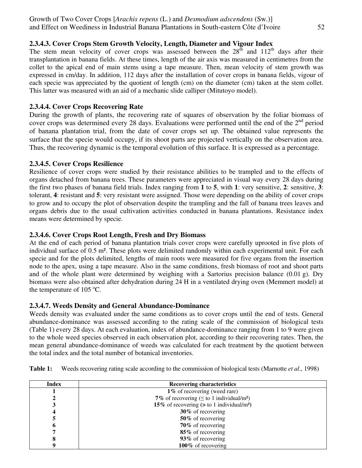# **2.3.4.3. Cover Crops Stem Growth Velocity, Length, Diameter and Vigour Index**

The stem mean velocity of cover crops was assessed between the  $28<sup>th</sup>$  and  $112<sup>th</sup>$  days after their transplantation in banana fields. At these times, length of the air axis was measured in centimetres from the collet to the apical end of main stems using a tape measure. Then, mean velocity of stem growth was expressed in cm/day. In addition, 112 days after the installation of cover crops in banana fields, vigour of each specie was appreciated by the quotient of length (cm) on the diameter (cm) taken at the stem collet. This latter was measured with an aid of a mechanic slide calliper (Mitutoyo model).

# **2.3.4.4. Cover Crops Recovering Rate**

During the growth of plants, the recovering rate of squares of observation by the foliar biomass of cover crops was determined every 28 days. Evaluations were performed until the end of the  $2<sup>nd</sup>$  period of banana plantation trial, from the date of cover crops set up. The obtained value represents the surface that the specie would occupy, if its shoot parts are projected vertically on the observation area. Thus, the recovering dynamic is the temporal evolution of this surface. It is expressed as a percentage.

# **2.3.4.5. Cover Crops Resilience**

Resilience of cover crops were studied by their resistance abilities to be trampled and to the effects of organs detached from banana trees. These parameters were appreciated in visual way every 28 days during the first two phases of banana field trials. Index ranging from **1** to **5**, with **1**: very sensitive, **2**: sensitive, **3**: tolerant, **4**: resistant and **5**: very resistant were assigned. Those were depending on the ability of cover crops to grow and to occupy the plot of observation despite the trampling and the fall of banana trees leaves and organs debris due to the usual cultivation activities conducted in banana plantations. Resistance index means were determined by specie.

# **2.3.4.6. Cover Crops Root Length, Fresh and Dry Biomass**

At the end of each period of banana plantation trials cover crops were carefully uprooted in five plots of individual surface of 0.5 m². These plots were delimited randomly within each experimental unit. For each specie and for the plots delimited, lengths of main roots were measured for five organs from the insertion node to the apex, using a tape measure. Also in the same conditions, fresh biomass of root and shoot parts and of the whole plant were determined by weighing with a Sartorius precision balance (0.01 g). Dry biomass were also obtained after dehydration during 24 H in a ventilated drying oven (Memmert model) at the temperature of  $105^{\circ}$ C.

# **2.3.4.7. Weeds Density and General Abundance-Dominance**

Weeds density was evaluated under the same conditions as to cover crops until the end of tests. General abundance-dominance was assessed according to the rating scale of the commission of biological tests (Table 1) every 28 days. At each evaluation, index of abundance-dominance ranging from 1 to 9 were given to the whole weed species observed in each observation plot, according to their recovering rates. Then, the mean general abundance-dominance of weeds was calculated for each treatment by the quotient between the total index and the total number of botanical inventories.

| <b>Index</b> | <b>Recovering characteristics</b>                          |
|--------------|------------------------------------------------------------|
|              | 1% of recovering (weed rare)                               |
|              | 7% of recovering ( $\leq$ to 1 individual/m <sup>2</sup> ) |
|              | 15% of recovering $(>$ to 1 individual/m <sup>2</sup> )    |
|              | 30% of recovering                                          |
|              | 50% of recovering                                          |
| o            | 70% of recovering                                          |
|              | 85% of recovering                                          |
|              | 93% of recovering                                          |
|              | 100 $%$ of recovering                                      |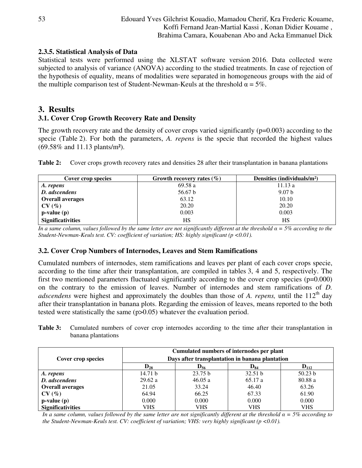# **2.3.5. Statistical Analysis of Data**

Statistical tests were performed using the XLSTAT software version 2016. Data collected were subjected to analysis of variance (ANOVA) according to the studied treatments. In case of rejection of the hypothesis of equality, means of modalities were separated in homogeneous groups with the aid of the multiple comparison test of Student-Newman-Keuls at the threshold  $\alpha = 5\%$ .

# **3. Results**

# **3.1. Cover Crop Growth Recovery Rate and Density**

The growth recovery rate and the density of cover crops varied significantly  $(p=0.003)$  according to the specie (Table 2). For both the parameters, *A. repens* is the specie that recorded the highest values (69.58% and 11.13 plants/m²).

|  | Table 2: Cover crops growth recovery rates and densities 28 after their transplantation in banana plantations |  |  |  |
|--|---------------------------------------------------------------------------------------------------------------|--|--|--|
|--|---------------------------------------------------------------------------------------------------------------|--|--|--|

| Cover crop species                    | Growth recovery rates $(\% )$ | Densities (individuals/m <sup>2</sup> ) |
|---------------------------------------|-------------------------------|-----------------------------------------|
| A. repens                             | 69.58 a                       | 11.13a                                  |
| D. adscendens                         | 56.67 b                       | 9.07 <sub>b</sub>                       |
| <b>Overall averages</b>               | 63.12                         | 10.10                                   |
| $CV(\%)$                              | 20.20                         | 20.20                                   |
| $\mathbf{p}\text{-value}(\mathbf{p})$ | 0.003                         | 0.003                                   |
| <b>Significativities</b>              | НS                            | HS                                      |

*In a same column, values followed by the same letter are not significantly different at the threshold*  $\alpha = 5\%$  *according to the Student-Newman-Keuls test. CV: coefficient of variation; HS: highly significant (p <0.01).* 

# **3.2. Cover Crop Numbers of Internodes, Leaves and Stem Ramifications**

Cumulated numbers of internodes, stem ramifications and leaves per plant of each cover crops specie, according to the time after their transplantation, are compiled in tables 3, 4 and 5, respectively. The first two mentioned parameters fluctuated significantly according to the cover crop species (p=0.000) on the contrary to the emission of leaves. Number of internodes and stem ramifications of *D. adscendens* were highest and approximately the doubles than those of *A. repens*, until the 112<sup>th</sup> day after their transplantation in banana plots. Regarding the emission of leaves, means reported to the both tested were statistically the same (p>0.05) whatever the evaluation period.

| Table 3: Cumulated numbers of cover crop internodes according to the time after their transplantation in |  |  |  |  |  |  |
|----------------------------------------------------------------------------------------------------------|--|--|--|--|--|--|
| banana plantations                                                                                       |  |  |  |  |  |  |

| Cover crop species       | Cumulated numbers of internodes per plant<br>Days after transplantation in banana plantation |                   |                   |            |  |  |
|--------------------------|----------------------------------------------------------------------------------------------|-------------------|-------------------|------------|--|--|
|                          | $D_{28}$                                                                                     | $\mathbf{D}_{56}$ | $\mathbf{D_{84}}$ | $D_{112}$  |  |  |
| A. repens                | 14.71 b                                                                                      | 23.75 b           | 32.51 b           | 50.23 b    |  |  |
| D. adscendens            | 29.62a                                                                                       | 46.05a            | 65.17 a           | 80.88 a    |  |  |
| <b>Overall averages</b>  | 21.05                                                                                        | 33.24             | 46.40             | 63.26      |  |  |
| CV(%)                    | 64.94                                                                                        | 66.25             | 67.33             | 61.90      |  |  |
| $p-value(p)$             | 0.000                                                                                        | 0.000             | 0.000             | 0.000      |  |  |
| <b>Significativities</b> | VHS                                                                                          | <b>VHS</b>        | <b>VHS</b>        | <b>VHS</b> |  |  |

*In a same column, values followed by the same letter are not significantly different at the threshold*  $\alpha = 5\%$  *according to the Student-Newman-Keuls test. CV: coefficient of variation; VHS: very highly significant (p <0.01).*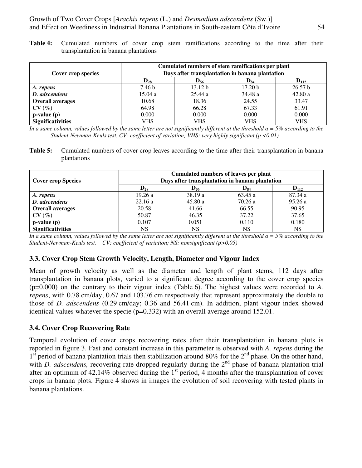Growth of Two Cover Crops [*Arachis repens* (L.) and *Desmodium adscendens* (Sw.)] and Effect on Weediness in Industrial Banana Plantations in South-eastern Côte d'Ivoire 54

**Table 4:** Cumulated numbers of cover crop stem ramifications according to the time after their transplantation in banana plantations

| Cover crop species                    | Cumulated numbers of stem ramifications per plant<br>Days after transplantation in banana plantation |                    |                    |                    |  |  |
|---------------------------------------|------------------------------------------------------------------------------------------------------|--------------------|--------------------|--------------------|--|--|
|                                       | $\mathbf{D_{28}}$                                                                                    | $\mathbf{D}_{56}$  | $D_{84}$           | $D_{112}$          |  |  |
| A. repens                             | 7.46 b                                                                                               | 13.12 <sub>b</sub> | 17.20 <sub>b</sub> | 26.57 <sub>b</sub> |  |  |
| D. adscendens                         | 15.04a                                                                                               | 25.44a             | 34.48 a            | 42.80a             |  |  |
| <b>Overall averages</b>               | 10.68                                                                                                | 18.36              | 24.55              | 33.47              |  |  |
| CV(%)                                 | 64.98                                                                                                | 66.28              | 67.33              | 61.91              |  |  |
| $\mathbf{p}\text{-value}(\mathbf{p})$ | 0.000                                                                                                | 0.000              | 0.000              | 0.000              |  |  |
| <b>Significativities</b>              | VHS                                                                                                  | <b>VHS</b>         | VHS                | <b>VHS</b>         |  |  |

*In a same column, values followed by the same letter are not significantly different at the threshold α = 5% according to the Student-Newman-Keuls test. CV: coefficient of variation; VHS: very highly significant (p <0.01).* 

**Table 5:** Cumulated numbers of cover crop leaves according to the time after their transplantation in banana plantations

| <b>Cover crop Species</b> | Cumulated numbers of leaves per plant<br>Days after transplantation in banana plantation |           |           |           |  |  |
|---------------------------|------------------------------------------------------------------------------------------|-----------|-----------|-----------|--|--|
|                           | $D_{28}$                                                                                 | $D_{56}$  | $D_{84}$  | $D_{112}$ |  |  |
| A. repens                 | 19.26a                                                                                   | 38.19a    | 63.45 a   | 87.34 a   |  |  |
| D. adscendens             | 22.16a                                                                                   | 45.80a    | 70.26 a   | 95.26a    |  |  |
| <b>Overall averages</b>   | 20.58                                                                                    | 41.66     | 66.55     | 90.95     |  |  |
| CV(%)                     | 50.87                                                                                    | 46.35     | 37.22     | 37.65     |  |  |
| $p-value(p)$              | 0.107                                                                                    | 0.051     | 0.110     | 0.180     |  |  |
| <b>Significativities</b>  | NS                                                                                       | <b>NS</b> | <b>NS</b> | <b>NS</b> |  |  |

*In a same column, values followed by the same letter are not significantly different at the threshold α = 5% according to the Student-Newman-Keuls test. CV: coefficient of variation; NS: nonsignificant (p>0.05)* 

### **3.3. Cover Crop Stem Growth Velocity, Length, Diameter and Vigour Index**

Mean of growth velocity as well as the diameter and length of plant stems, 112 days after transplantation in banana plots, varied to a significant degree according to the cover crop species (p=0.000) on the contrary to their vigour index (Table 6). The highest values were recorded to *A. repens*, with 0.78 cm/day, 0.67 and 103.76 cm respectively that represent approximately the double to those of *D. adscendens* (0.29 cm/day; 0.36 and 56.41 cm). In addition, plant vigour index showed identical values whatever the specie (p=0.332) with an overall average around 152.01.

### **3.4. Cover Crop Recovering Rate**

Temporal evolution of cover crops recovering rates after their transplantation in banana plots is reported in figure 3. Fast and constant increase in this parameter is observed with *A. repens* during the  $1<sup>st</sup>$  period of banana plantation trials then stabilization around 80% for the  $2<sup>nd</sup>$  phase. On the other hand, with *D. adscendens*, recovering rate dropped regularly during the  $2<sup>nd</sup>$  phase of banana plantation trial after an optimum of 42.14% observed during the  $1<sup>st</sup>$  period, 4 months after the transplantation of cover crops in banana plots. Figure 4 shows in images the evolution of soil recovering with tested plants in banana plantations.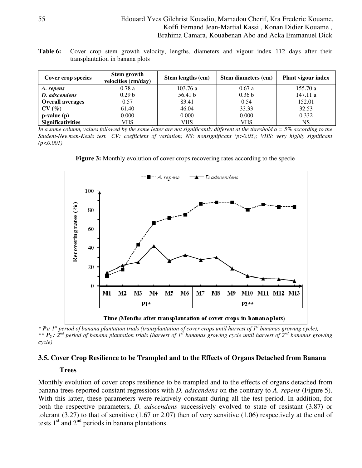### 55 Edouard Yves Gilchrist Kouadio, Mamadou Cherif, Kra Frederic Kouame, Koffi Fernand Jean-Martial Kassi , Konan Didier Kouame , Brahima Camara, Kouabenan Abo and Acka Emmanuel Dick

**Table 6:** Cover crop stem growth velocity, lengths, diameters and vigour index 112 days after their transplantation in banana plots

| Cover crop species       | Stem growth<br>velocities (cm/day) | Stem lengths (cm) | Stem diameters (cm) | Plant vigour index |
|--------------------------|------------------------------------|-------------------|---------------------|--------------------|
| A. repens                | 0.78a                              | 103.76a           | 0.67a               | 155.70 a           |
| D. adscendens            | 0.29 <sub>b</sub>                  | 56.41 b           | 0.36 <sub>b</sub>   | 147.11a            |
| <b>Overall averages</b>  | 0.57                               | 83.41             | 0.54                | 152.01             |
| CV(%)                    | 61.40                              | 46.04             | 33.33               | 32.53              |
| $p-value(p)$             | 0.000                              | 0.000             | 0.000               | 0.332              |
| <b>Significativities</b> | VHS                                | VHS               | VHS                 | <b>NS</b>          |

*In a same column, values followed by the same letter are not significantly different at the threshold α = 5% according to the Student-Newman-Keuls test. CV: coefficient of variation; NS: nonsignificant (p>0.05); VHS: very highly significant (p<0.001)* 





*\* P1: 1st period of banana plantation trials (transplantation of cover crops until harvest of 1st bananas growing cycle); \*\* P2 : 2nd period of banana plantation trials (harvest of 1st bananas growing cycle until harvest of 2nd bananas growing cycle)* 

### **3.5. Cover Crop Resilience to be Trampled and to the Effects of Organs Detached from Banana**

#### **Trees**

Monthly evolution of cover crops resilience to be trampled and to the effects of organs detached from banana trees reported constant regressions with *D. adscendens* on the contrary to *A. repens* (Figure 5). With this latter, these parameters were relatively constant during all the test period. In addition, for both the respective parameters, *D. adscendens* successively evolved to state of resistant (3.87) or tolerant (3.27) to that of sensitive (1.67 or 2.07) then of very sensitive (1.06) respectively at the end of tests  $1<sup>st</sup>$  and  $2<sup>nd</sup>$  periods in banana plantations.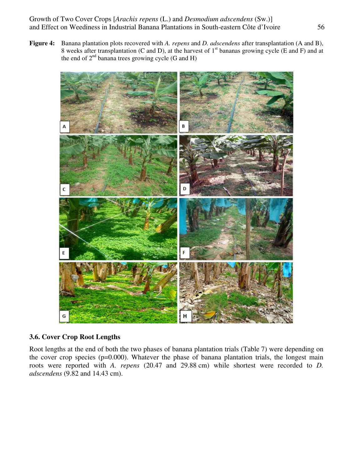Growth of Two Cover Crops [*Arachis repens* (L.) and *Desmodium adscendens* (Sw.)] and Effect on Weediness in Industrial Banana Plantations in South-eastern Côte d'Ivoire 56

**Figure 4:** Banana plantation plots recovered with *A. repens* and *D. adscendens* after transplantation (A and B), 8 weeks after transplantation (C and D), at the harvest of  $1<sup>st</sup>$  bananas growing cycle (E and F) and at the end of  $2<sup>nd</sup>$  banana trees growing cycle (G and H)



# **3.6. Cover Crop Root Lengths**

Root lengths at the end of both the two phases of banana plantation trials (Table 7) were depending on the cover crop species (p=0.000). Whatever the phase of banana plantation trials, the longest main roots were reported with *A. repens* (20.47 and 29.88 cm) while shortest were recorded to *D. adscendens* (9.82 and 14.43 cm).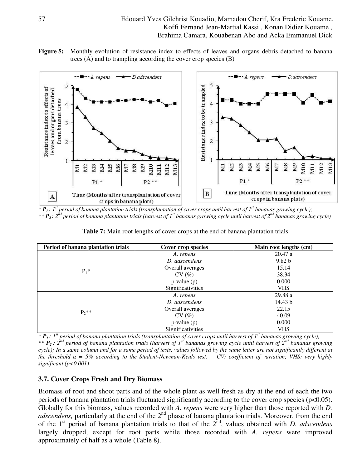**Figure 5:** Monthly evolution of resistance index to effects of leaves and organs debris detached to banana trees (A) and to trampling according the cover crop species (B)



*\* P1 : 1st period of banana plantation trials (transplantation of cover crops until harvest of 1st bananas growing cycle); \*\* P2 : 2nd period of banana plantation trials (harvest of 1st bananas growing cycle until harvest of 2nd bananas growing cycle)* 

**Table 7:** Main root lengths of cover crops at the end of banana plantation trials

| Period of banana plantation trials | Cover crop species | Main root lengths (cm) |
|------------------------------------|--------------------|------------------------|
|                                    | A. repens          | 20.47a                 |
|                                    | D. adscendens      | 9.82 <sub>b</sub>      |
|                                    | Overall averages   | 15.14                  |
| $P_1^*$                            | CV(%)              | 38.34                  |
|                                    | $p-value(p)$       | 0.000                  |
|                                    | Significativities  | <b>VHS</b>             |
|                                    | A. repens          | 29.88 a                |
|                                    | D. adscendens      | 14.43 b                |
|                                    | Overall averages   | 22.15                  |
| $P_2$ **                           | CV(%)              | 40.09                  |
|                                    | $p-value(p)$       | 0.000                  |
|                                    | Significativities  | <b>VHS</b>             |

 $*P_1$ :  $I^{\text{st}}$  period of banana plantation trials (transplantation of cover crops until harvest of  $I^{\text{st}}$  bananas growing cycle); *\*\* P2 : 2nd period of banana plantation trials (harvest of 1st bananas growing cycle until harvest of 2nd bananas growing cycle); In a same column and for a same period of tests, values followed by the same letter are not significantly different at the threshold α = 5% according to the Student-Newman-Keuls test. CV: coefficient of variation; VHS: very highly significant (p<0.001)* 

# **3.7. Cover Crops Fresh and Dry Biomass**

Biomass of root and shoot parts and of the whole plant as well fresh as dry at the end of each the two periods of banana plantation trials fluctuated significantly according to the cover crop species (p<0.05). Globally for this biomass, values recorded with *A. repens* were very higher than those reported with *D. adscendens*, particularly at the end of the 2<sup>nd</sup> phase of banana plantation trials. Moreover, from the end of the 1<sup>st</sup> period of banana plantation trials to that of the 2<sup>nd</sup>, values obtained with *D. adscendens* largely dropped, except for root parts while those recorded with *A. repens* were improved approximately of half as a whole (Table 8).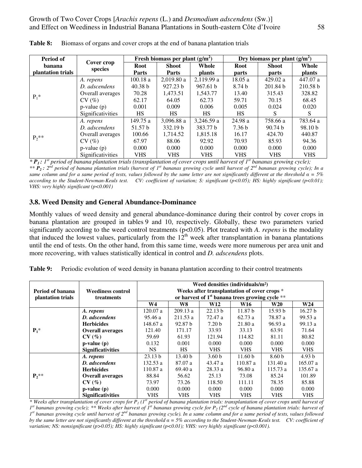| Period of         |                       | Fresh biomass per plant $(g/m2)$ |              |               | Dry biomass per plant $(g/m^2)$ |                    |                    |  |
|-------------------|-----------------------|----------------------------------|--------------|---------------|---------------------------------|--------------------|--------------------|--|
| banana            | Cover crop<br>species | <b>Root</b>                      | <b>Shoot</b> | Whole         | <b>Root</b>                     | <b>Shoot</b>       | Whole              |  |
| plantation trials |                       | <b>Parts</b>                     | Parts        | <b>plants</b> | parts                           | parts              | <b>plants</b>      |  |
|                   | A. repens             | 100.18a                          | 2,019.80 a   | 2,119.99 a    | 18.05a                          | 429.02 a           | 447.07 a           |  |
|                   | D. adscendens         | 40.38 b                          | 927.23 b     | 967.61 b      | 8.74 <sub>b</sub>               | 201.84 b           | 210.58 b           |  |
|                   | Overall averages      | 70.28                            | 1,473.51     | 1,543.77      | 13.40                           | 315.43             | 328.82             |  |
| $P_1*$            | CV(%)                 | 62.17                            | 64.05        | 62.73         | 59.71                           | 70.15              | 68.45              |  |
|                   | $p-value(p)$          | 0.001                            | 0.009        | 0.006         | 0.005                           | 0.024              | 0.020              |  |
|                   | Significativities     | HS                               | <b>HS</b>    | HS            | HS                              | S                  | S                  |  |
|                   | A. repens             | 149.75 a                         | 3,096.88 a   | 3.246.59a     | 24.98 a                         | 758.66 a           | 783.64 a           |  |
|                   | D. adscendens         | 51.57 b                          | 332.19 b     | 383.77 b      | 7.36 <sub>b</sub>               | 90.74 <sub>b</sub> | 98.10 <sub>b</sub> |  |
| $P_2$ **          | Overall averages      | 100.66                           | 1,714.52     | 1,815.18      | 16.17                           | 424.70             | 440.87             |  |
|                   | CV(%)                 | 67.97                            | 88.06        | 92.92         | 70.93                           | 85.93              | 94.36              |  |
|                   | $p-value(p)$          | 0.000                            | 0.000        | 0.000         | 0.000                           | 0.000              | 0.000              |  |
|                   | Significativities     | VHS                              | <b>VHS</b>   | <b>VHS</b>    | <b>VHS</b>                      | <b>VHS</b>         | <b>VHS</b>         |  |

**Table 8:** Biomass of organs and cover crops at the end of banana plantation trials

*\* P1 : 1st period of banana plantation trials (transplantation of cover crops until harvest of 1st bananas growing cycle); \*\* P2 : 2nd period of banana plantation trials (harvest of 1st bananas growing cycle until harvest of 2nd bananas growing cycle); In a same column and for a same period of tests, values followed by the same letter are not significantly different at the threshold*  $\alpha = 5\%$ *according to the Student-Newman-Keuls test. CV: coefficient of variation; S: significant (p<0.05); HS: highly significant (p<0.01); VHS: very highly significant (p<0.001)* 

## **3.8. Weed Density and General Abundance-Dominance**

Monthly values of weed density and general abundance-dominance during their control by cover crops in banana plantation are grouped in tables 9 and 10, respectively. Globally, these two parameters varied significantly according to the weed control treatments (p<0.05). Plot treated with *A. repens* is the modality that induced the lowest values, particularly from the  $12<sup>th</sup>$  week after transplantation in banana plantations until the end of tests. On the other hand, from this same time, weeds were more numerous per area unit and more recovering, with values statistically identical in control and *D. adscendens* plots.

|                   |                          | Weed densities (individuals/m <sup>2</sup> )<br>Weeks after transplantation of cover crops * |                    |                   |                    |                   |                    |  |  |
|-------------------|--------------------------|----------------------------------------------------------------------------------------------|--------------------|-------------------|--------------------|-------------------|--------------------|--|--|
| Period of banana  | <b>Weediness control</b> |                                                                                              |                    |                   |                    |                   |                    |  |  |
| plantation trials | treatments               | or harvest of $1st$ banana trees growing cycle **                                            |                    |                   |                    |                   |                    |  |  |
|                   |                          | W4                                                                                           | W8                 | <b>W12</b>        | <b>W16</b>         | <b>W20</b>        | W24                |  |  |
|                   | A. repens                | 120.07a                                                                                      | 209.13a            | 22.13 b           | 11.87 <sub>b</sub> | 15.93 h           | 16.27 <sub>b</sub> |  |  |
|                   | D. adscendens            | 95.46 a                                                                                      | 211.53a            | 72.47 a           | 62.73a             | 78.87 a           | 99.53a             |  |  |
|                   | <b>Herbicides</b>        | 148.67 a                                                                                     | 92.87 <sub>b</sub> | 7.20 <sub>b</sub> | 21.80a             | 96.93a            | 99.13a             |  |  |
| $P_1$ *           | <b>Overall averages</b>  | 121.40                                                                                       | 171.17             | 33.93             | 33.13              | 63.91             | 71.64              |  |  |
|                   | CV(%)                    | 59.69                                                                                        | 61.93              | 121.94            | 114.82             | 81.11             | 80.82              |  |  |
|                   | $p-value(p)$             | 0.132                                                                                        | 0.001              | 0.000             | 0.000              | 0.000             | 0.000              |  |  |
|                   | <b>Significativities</b> | NS.                                                                                          | <b>HS</b>          | VHS.              | <b>VHS</b>         | <b>VHS</b>        | <b>VHS</b>         |  |  |
|                   | A. repens                | 23.13 b                                                                                      | 13.40 <sub>b</sub> | 3.60 <sub>b</sub> | 11.60 <sub>b</sub> | 8.60 <sub>b</sub> | 4.93 <sub>b</sub>  |  |  |
|                   | D. adscendens            | 132.53a                                                                                      | 87.07 a            | 43.47 a           | 110.87 a           | 131.40 a          | 165.07 a           |  |  |
|                   | <b>Herbicides</b>        | 110.87 a                                                                                     | 69.40 a            | 28.33a            | 96.80a             | 115.73a           | 135.67 a           |  |  |
| $P_2$ **          | <b>Overall averages</b>  | 88.84                                                                                        | 56.62              | 25.13             | 73.08              | 85.24             | 101.89             |  |  |
|                   | CV(%)                    | 73.97                                                                                        | 73.26              | 118.50            | 111.11             | 78.35             | 85.88              |  |  |
|                   | $p-value(p)$             | 0.000                                                                                        | 0.000              | 0.000             | 0.000              | 0.000             | 0.000              |  |  |
|                   | <b>Significativities</b> | <b>VHS</b>                                                                                   | <b>VHS</b>         | <b>VHS</b>        | <b>VHS</b>         | <b>VHS</b>        | <b>VHS</b>         |  |  |

*\** Weeks after transplantation of cover crops for  $P_I(I^{st}$  period of banana plantation trials: transplantation of cover crops until harvest of *I*<sup>st</sup> bananas growing cycle); \*\* Weeks after harvest of *I*<sup>st</sup> bananas growing cycle for P<sub>2</sub> (2<sup>nd</sup> cycle of banana plantation trials: harvest of *1 st bananas growing cycle until harvest of 2nd bananas growing cycle). In a same column and for a same period of tests, values followed by the same letter are not significantly different at the threshold α = 5% according to the Student-Newman-Keuls test. CV: coefficient of variation; NS: nonsignificant (p>0.05); HS: highly significant (p<0.01); VHS: very highly significant (p<0.001).*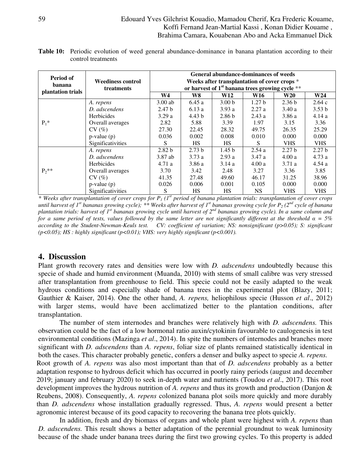### 59 Edouard Yves Gilchrist Kouadio, Mamadou Cherif, Kra Frederic Kouame, Koffi Fernand Jean-Martial Kassi , Konan Didier Kouame , Brahima Camara, Kouabenan Abo and Acka Emmanuel Dick

| <b>Table 10:</b> Periodic evolution of weed general abundance-dominance in banana plantation according to their |  |  |  |  |
|-----------------------------------------------------------------------------------------------------------------|--|--|--|--|
| control treatments                                                                                              |  |  |  |  |

| Period of<br>banana<br>plantation trials | <b>Weediness control</b> | <b>General abundance-dominances of weeds</b><br>Weeks after transplantation of cover crops *<br>or harvest of $1st$ banana trees growing cycle ** |                   |                   |                   |                   |                   |  |
|------------------------------------------|--------------------------|---------------------------------------------------------------------------------------------------------------------------------------------------|-------------------|-------------------|-------------------|-------------------|-------------------|--|
|                                          | treatments               |                                                                                                                                                   |                   |                   |                   |                   |                   |  |
|                                          |                          | W4                                                                                                                                                | W8                | W12               | <b>W16</b>        | W20               | W24               |  |
| $P_1$ *                                  | A. repens                | $3.00$ ab                                                                                                                                         | 6.45a             | 3.00 <sub>b</sub> | 1.27 <sub>b</sub> | 2.36 <sub>b</sub> | 2.64c             |  |
|                                          | D. adscendens            | 2.47 <sub>b</sub>                                                                                                                                 | 6.13a             | 3.93a             | 2.27a             | 3.40a             | 3.53 b            |  |
|                                          | Herbicides               | 3.29a                                                                                                                                             | 4.43 <sub>b</sub> | 2.86 <sub>b</sub> | 2.43a             | 3.86 a            | 4.14a             |  |
|                                          | Overall averages         | 2.82                                                                                                                                              | 5.88              | 3.39              | 1.97              | 3.15              | 3.36              |  |
|                                          | CV(%)                    | 27.30                                                                                                                                             | 22.45             | 28.32             | 49.75             | 26.35             | 25.29             |  |
|                                          | $p-value(p)$             | 0.036                                                                                                                                             | 0.002             | 0.008             | 0.010             | 0.000             | 0.000             |  |
|                                          | Significativities        | S                                                                                                                                                 | HS                | HS                | S                 | <b>VHS</b>        | <b>VHS</b>        |  |
| $P_2$ **                                 | A. repens                | 2.82 <sub>b</sub>                                                                                                                                 | 2.73 <sub>b</sub> | 1.45 <sub>b</sub> | 2.54a             | 2.27 <sub>b</sub> | 2.27 <sub>b</sub> |  |
|                                          | D. adscendens            | 3.87 ab                                                                                                                                           | 3.73a             | 2.93a             | 3.47 a            | 4.00a             | 4.73a             |  |
|                                          | <b>Herbicides</b>        | 4.71 a                                                                                                                                            | 3.86 a            | 3.14 a            | 4.00a             | 3.71a             | 4.54 a            |  |
|                                          | Overall averages         | 3.70                                                                                                                                              | 3.42              | 2.48              | 3.27              | 3.36              | 3.85              |  |
|                                          | CV(%)                    | 41.35                                                                                                                                             | 27.48             | 49.60             | 46.17             | 31.25             | 38.96             |  |
|                                          | $p-value(p)$             | 0.026                                                                                                                                             | 0.006             | 0.001             | 0.105             | 0.000             | 0.000             |  |
|                                          | Significativities        | S                                                                                                                                                 | <b>HS</b>         | <b>HS</b>         | NS.               | <b>VHS</b>        | <b>VHS</b>        |  |

*\* Weeks after transplantation of cover crops for P1 (1st period of banana plantation trials: transplantation of cover crops until harvest of 1st bananas growing cycle); \*\* Weeks after harvest of 1st bananas growing cycle for P2 (2nd cycle of banana plantation trials: harvest of 1st bananas growing cycle until harvest of 2nd bananas growing cycle). In a same column and for a same period of tests, values followed by the same letter are not significantly different at the threshold*  $\alpha = 5\%$ *according to the Student-Newman-Keuls test. CV: coefficient of variation; NS: nonsignificant (p>0.05); S: significant (p<0.05); HS : highly significant (p<0.01); VHS: very highly significant (p<0.001).* 

# **4. Discussion**

Plant growth recovery rates and densities were low with *D. adscendens* undoubtedly because this specie of shade and humid environment (Muanda, 2010) with stems of small calibre was very stressed after transplantation from greenhouse to field. This specie could not be easily adapted to the weak hydrous conditions and especially shade of banana trees in the experimental plot (Blazy, 2011; Gauthier & Kaiser, 2014). One the other hand, *A. repens,* heliophilous specie (Husson *et al*., 2012) with larger stems, would have been acclimatized better to the plantation conditions, after transplantation.

The number of stem internodes and branches were relatively high with *D. adscendens.* This observation could be the fact of a low hormonal ratio auxin/cytokinin favourable to caulogenesis in test environmental conditions (Mazinga *et al*., 2014). In spite the numbers of internodes and branches more significant with *D. adscendens* than *A. repens*, foliar size of plants remained statistically identical in both the cases. This character probably genetic, confers a denser and bulky aspect to specie *A. repens.* 

Root growth of *A. repens* was also most important than that of *D. adscendens* probably as a better adaptation response to hydrous deficit which has occurred in poorly rainy periods (august and december 2019; january and february 2020) to seek in-depth water and nutrients (Toudou *et al*., 2017). This root development improves the hydrous nutrition of *A. repens* and thus its growth and production (Danjon & Reubens, 2008). Consequently, *A. repens* colonized banana plot soils more quickly and more durably than *D. adscendens* whose installation gradually regressed. Thus, *A. repens* would present a better agronomic interest because of its good capacity to recovering the banana tree plots quickly.

In addition, fresh and dry biomass of organs and whole plant were highest with *A. repens* than *D. adscendens.* This result shows a better adaptation of the perennial groundnut to weak luminosity because of the shade under banana trees during the first two growing cycles. To this property is added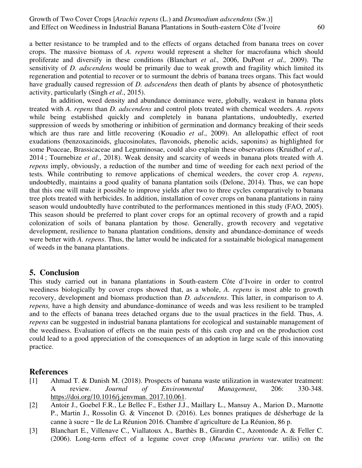a better resistance to be trampled and to the effects of organs detached from banana trees on cover crops. The massive biomass of *A. repens* would represent a shelter for macrofauna which should proliferate and diversify in these conditions (Blanchart *et al.,* 2006, DuPont *et al.,* 2009). The sensitivity of *D. adscendens* would be primarily due to weak growth and fragility which limited its regeneration and potential to recover or to surmount the debris of banana trees organs. This fact would have gradually caused regression of *D. adscendens* then death of plants by absence of photosynthetic activity, particularly (Singh *et al*., 2015).

In addition, weed density and abundance dominance were, globally, weakest in banana plots treated with *A. repens* than *D. adscendens* and control plots treated with chemical weeders. *A. repens* while being established quickly and completely in banana plantations, undoubtedly, exerted suppression of weeds by smothering or inhibition of germination and dormancy breaking of their seeds which are thus rare and little recovering (Kouadio *et al*., 2009). An allelopathic effect of root exudations (benzoxazinoids, glucosinolates, flavonoids, phenolic acids, saponins) as highlighted for some Poaceae, Brassicaceae and Leguminosae, could also explain these observations (Kruidhof *et al*., 2014 ; Tournebize *et al*., 2018). Weak density and scarcity of weeds in banana plots treated with *A. repens* imply, obviously, a reduction of the number and time of weeding for each next period of the tests. While contributing to remove applications of chemical weeders, the cover crop *A. repens*, undoubtedly, maintains a good quality of banana plantation soils (Delone, 2014). Thus, we can hope that this one will make it possible to improve yields after two to three cycles comparatively to banana tree plots treated with herbicides. In addition, installation of cover crops on banana plantations in rainy season would undoubtedly have contributed to the performances mentioned in this study (FAO, 2005). This season should be preferred to plant cover crops for an optimal recovery of growth and a rapid colonization of soils of banana plantation by those. Generally, growth recovery and vegetative development, resilience to banana plantation conditions, density and abundance-dominance of weeds were better with *A. repens*. Thus, the latter would be indicated for a sustainable biological management of weeds in the banana plantations.

### **5. Conclusion**

This study carried out in banana plantations in South-eastern Côte d'Ivoire in order to control weediness biologically by cover crops showed that, as a whole, *A. repens* is most able to growth recovery, development and biomass production than *D. adscendens*. This latter, in comparison to *A. repens,* have a high density and abundance-dominance of weeds and was less resilient to be trampled and to the effects of banana trees detached organs due to the usual practices in the field. Thus, *A. repens* can be suggested in industrial banana plantations for ecological and sustainable management of the weediness. Evaluation of effects on the main pests of this cash crop and on the production cost could lead to a good appreciation of the consequences of an adoption in large scale of this innovating practice.

# **References**

- [1] Ahmad T. & Danish M. (2018). Prospects of banana waste utilization in wastewater treatment: A review. *Journal of Environmental Management*, 206: 330-348. https://doi.org/10.1016/j.jenvman. 2017.10.061.
- [2] Antoir J., Goebel F.R., Le Bellec F., Esther J.J., Maillary L., Mansuy A., Marion D., Marnotte P., Martin J., Rossolin G. & Vincenot D. (2016). Les bonnes pratiques de désherbage de la canne à sucre – Ile de La Réunion 2016. Chambre d'agriculture de La Réunion, 86 p.
- [3] Blanchart E., Villenave C., Viallatoux A., Barthès B., Girardin C., Azontonde A. & Feller C. (2006). Long-term effect of a legume cover crop (*Mucuna pruriens* var. utilis) on the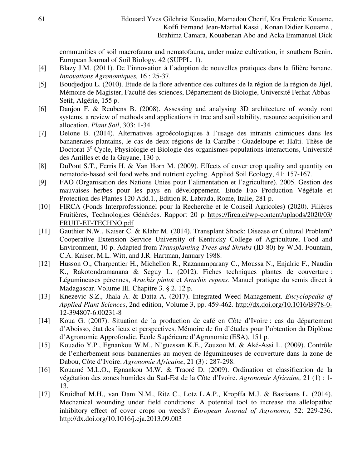communities of soil macrofauna and nematofauna, under maize cultivation, in southern Benin. European Journal of Soil Biology, 42 (SUPPL. 1).

- [4] Blazy J.M. (2011). De l'innovation à l'adoption de nouvelles pratiques dans la filière banane. *Innovations Agronomiques,* 16 : 25-37.
- [5] Boudjedjou L. (2010). Etude de la flore adventice des cultures de la région de la région de Jijel, Mémoire de Magister, Faculté des sciences, Département de Biologie, Université Ferhat Abbas-Setif, Algérie, 155 p.
- [6] Danjon F. & Reubens B. (2008). Assessing and analysing 3D architecture of woody root systems, a review of methods and applications in tree and soil stability, resource acquisition and allocation. *Plant Soil*, 303: 1-34.
- [7] Delone B. (2014). Alternatives agroécologiques à l'usage des intrants chimiques dans les bananeraies plantains, le cas de deux régions de la Caraïbe : Guadeloupe et Haïti. Thèse de Doctorat 3<sup>e</sup> Cycle, Physiologie et Biologie des organismes-populations-interactions, Université des Antilles et de la Guyane, 130 p.
- [8] DuPont S.T., Ferris H. & Van Horn M. (2009). Effects of cover crop quality and quantity on nematode-based soil food webs and nutrient cycling. Applied Soil Ecology, 41: 157-167.
- [9] FAO (Organisation des Nations Unies pour l'alimentation et l'agriculture). 2005. Gestion des mauvaises herbes pour les pays en développement. Etude Fao Production Végétale et Protection des Plantes 120 Add.1., Edition R. Labrada, Rome, Italie, 281 p.
- [10] FIRCA (Fonds Interprofessionnel pour la Recherche et le Conseil Agricoles) (2020). Filières Fruitières, Technologies Générées. Rapport 20 p. https://firca.ci/wp-content/uplaods/2020/03/ FRUIT-ET-TECHNO.pdf
- [11] Gauthier N.W., Kaiser C. & Klahr M. (2014). Transplant Shock: Disease or Cultural Problem? Cooperative Extension Service University of Kentucky College of Agriculture, Food and Environment, 10 p. Adapted from *Transplanting Trees and Shrubs* (ID-80) by W.M. Fountain, C.A. Kaiser, M.L. Witt, and J.R. Hartman, January 1988.
- [12] Husson O., Charpentier H., Michellon R., Razanamparany C., Moussa N., Enjalric F., Naudin K., Rakotondramanana & Seguy L. (2012). Fiches techniques plantes de couverture : Légumineuses pérennes, *Arachis pintoï* et *Arachis repens.* Manuel pratique du semis direct à Madagascar. Volume III. Chapitre 3. § 2. 12 p.
- [13] Knezevic S.Z., Jhala A. & Datta A. (2017). Integrated Weed Management. *Encyclopedia of Applied Plant Sciences*, 2nd edition, Volume 3, pp. 459-462. http://dx.doi.org/10.1016/B978-0- 12-394807-6.00231-8
- [14] Koua G. (2007). Situation de la production de café en Côte d'Ivoire : cas du département d'Aboisso, état des lieux et perspectives. Mémoire de fin d'études pour l'obtention du Diplôme d'Agronomie Approfondie. Ecole Supérieure d'Agronomie (ESA), 151 p.
- [15] Kouadio Y.P., Egnankou W.M., N'guessan K.E., Zouzou M. & Aké-Assi L. (2009). Contrôle de l'enherbement sous bananeraies au moyen de légumineuses de couverture dans la zone de Dabou, Côte d'Ivoire. *Agronomie Africaine*, 21 (3) : 287-298.
- [16] Kouamé M.L.O., Egnankou M.W. & Traoré D. (2009). Ordination et classification de la végétation des zones humides du Sud-Est de la Côte d'Ivoire. *Agronomie Africaine,* 21 (1) : 1- 13.
- [17] Kruidhof M.H., van Dam N.M., Ritz C., Lotz L.A.P., Kropffa M.J. & Bastiaans L. (2014). Mechanical wounding under field conditions: A potential tool to increase the allelopathic inhibitory effect of cover crops on weeds? *European Journal of Agronomy,* 52: 229-236. http://dx.doi.org/10.1016/j.eja.2013.09.003